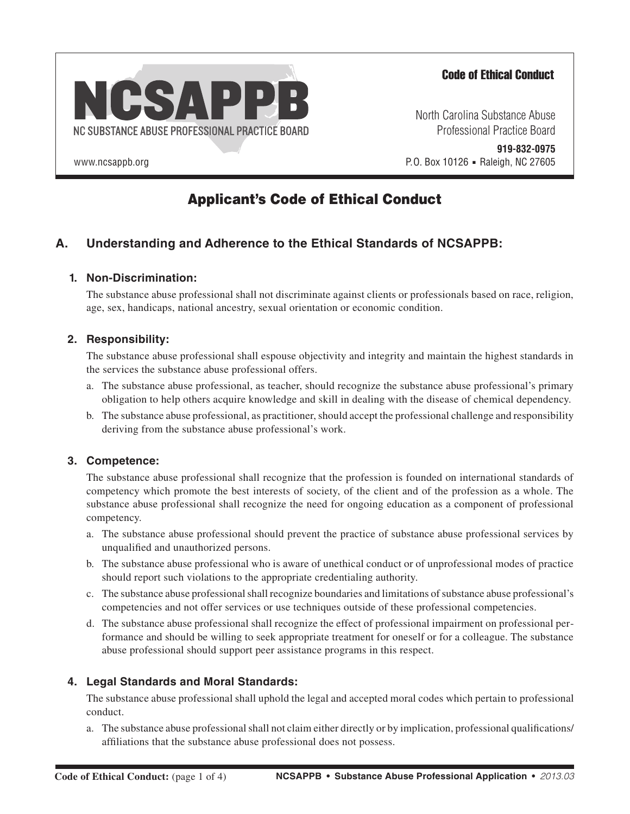

# Code of Ethical Conduct

North Carolina Substance Abuse Professional Practice Board

www.ncsappb.org **Raleigh, NC 27605 P.O. Box 10126 • Raleigh, NC 27605 919-832-0975**

# Applicant's Code of Ethical Conduct

# **A. Understanding and Adherence to the Ethical Standards of NCSAPPB:**

#### **1. Non-Discrimination:**

The substance abuse professional shall not discriminate against clients or professionals based on race, religion, age, sex, handicaps, national ancestry, sexual orientation or economic condition.

#### **2. Responsibility:**

The substance abuse professional shall espouse objectivity and integrity and maintain the highest standards in the services the substance abuse professional offers.

- a. The substance abuse professional, as teacher, should recognize the substance abuse professional's primary obligation to help others acquire knowledge and skill in dealing with the disease of chemical dependency.
- b. The substance abuse professional, as practitioner, should accept the professional challenge and responsibility deriving from the substance abuse professional's work.

## **3. Competence:**

The substance abuse professional shall recognize that the profession is founded on international standards of competency which promote the best interests of society, of the client and of the profession as a whole. The substance abuse professional shall recognize the need for ongoing education as a component of professional competency.

- a. The substance abuse professional should prevent the practice of substance abuse professional services by unqualified and unauthorized persons.
- b. The substance abuse professional who is aware of unethical conduct or of unprofessional modes of practice should report such violations to the appropriate credentialing authority.
- c. The substance abuse professional shall recognize boundaries and limitations of substance abuse professional's competencies and not offer services or use techniques outside of these professional competencies.
- d. The substance abuse professional shall recognize the effect of professional impairment on professional performance and should be willing to seek appropriate treatment for oneself or for a colleague. The substance abuse professional should support peer assistance programs in this respect.

## **4. Legal Standards and Moral Standards:**

The substance abuse professional shall uphold the legal and accepted moral codes which pertain to professional conduct.

a. The substance abuse professional shall not claim either directly or by implication, professional qualifications/ affiliations that the substance abuse professional does not possess.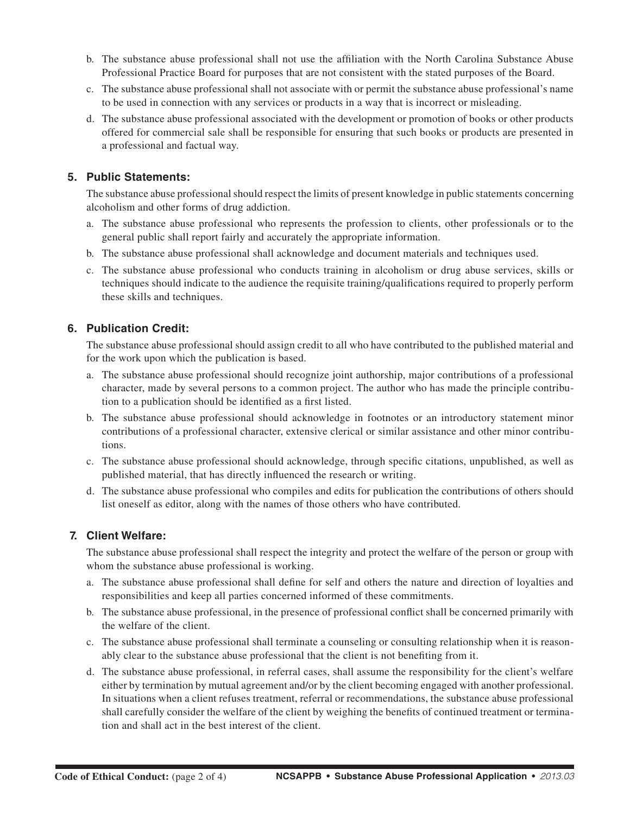- b. The substance abuse professional shall not use the affiliation with the North Carolina Substance Abuse Professional Practice Board for purposes that are not consistent with the stated purposes of the Board.
- c. The substance abuse professional shall not associate with or permit the substance abuse professional's name to be used in connection with any services or products in a way that is incorrect or misleading.
- d. The substance abuse professional associated with the development or promotion of books or other products offered for commercial sale shall be responsible for ensuring that such books or products are presented in a professional and factual way.

#### **5. Public Statements:**

The substance abuse professional should respect the limits of present knowledge in public statements concerning alcoholism and other forms of drug addiction.

- a. The substance abuse professional who represents the profession to clients, other professionals or to the general public shall report fairly and accurately the appropriate information.
- b. The substance abuse professional shall acknowledge and document materials and techniques used.
- c. The substance abuse professional who conducts training in alcoholism or drug abuse services, skills or techniques should indicate to the audience the requisite training/qualifications required to properly perform these skills and techniques.

#### **6. Publication Credit:**

The substance abuse professional should assign credit to all who have contributed to the published material and for the work upon which the publication is based.

- a. The substance abuse professional should recognize joint authorship, major contributions of a professional character, made by several persons to a common project. The author who has made the principle contribution to a publication should be identified as a first listed.
- b. The substance abuse professional should acknowledge in footnotes or an introductory statement minor contributions of a professional character, extensive clerical or similar assistance and other minor contributions.
- c. The substance abuse professional should acknowledge, through specific citations, unpublished, as well as published material, that has directly influenced the research or writing.
- d. The substance abuse professional who compiles and edits for publication the contributions of others should list oneself as editor, along with the names of those others who have contributed.

#### **7. Client Welfare:**

The substance abuse professional shall respect the integrity and protect the welfare of the person or group with whom the substance abuse professional is working.

- a. The substance abuse professional shall define for self and others the nature and direction of loyalties and responsibilities and keep all parties concerned informed of these commitments.
- b. The substance abuse professional, in the presence of professional conflict shall be concerned primarily with the welfare of the client.
- c. The substance abuse professional shall terminate a counseling or consulting relationship when it is reasonably clear to the substance abuse professional that the client is not benefiting from it.
- d. The substance abuse professional, in referral cases, shall assume the responsibility for the client's welfare either by termination by mutual agreement and/or by the client becoming engaged with another professional. In situations when a client refuses treatment, referral or recommendations, the substance abuse professional shall carefully consider the welfare of the client by weighing the benefits of continued treatment or termination and shall act in the best interest of the client.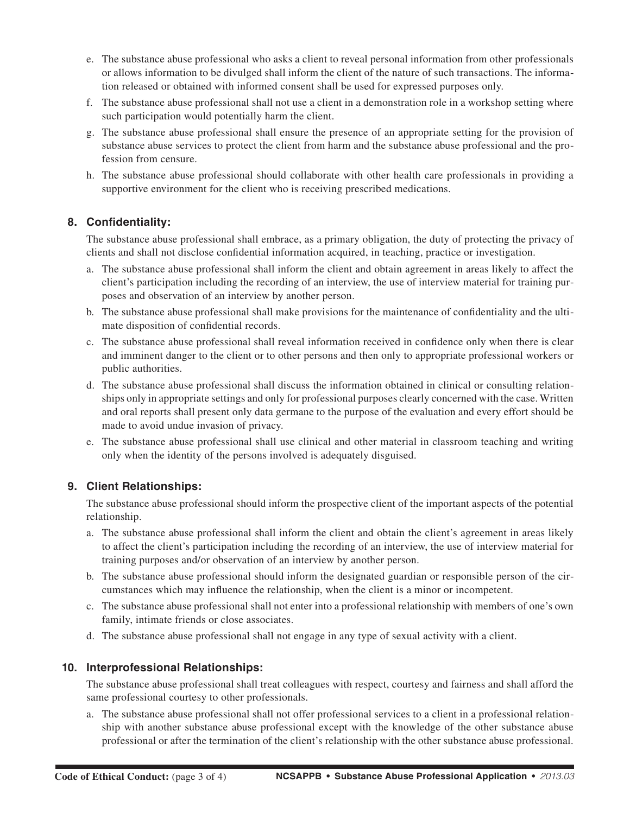- e. The substance abuse professional who asks a client to reveal personal information from other professionals or allows information to be divulged shall inform the client of the nature of such transactions. The information released or obtained with informed consent shall be used for expressed purposes only.
- f. The substance abuse professional shall not use a client in a demonstration role in a workshop setting where such participation would potentially harm the client.
- g. The substance abuse professional shall ensure the presence of an appropriate setting for the provision of substance abuse services to protect the client from harm and the substance abuse professional and the profession from censure.
- h. The substance abuse professional should collaborate with other health care professionals in providing a supportive environment for the client who is receiving prescribed medications.

#### **8. Confidentiality:**

The substance abuse professional shall embrace, as a primary obligation, the duty of protecting the privacy of clients and shall not disclose confidential information acquired, in teaching, practice or investigation.

- a. The substance abuse professional shall inform the client and obtain agreement in areas likely to affect the client's participation including the recording of an interview, the use of interview material for training purposes and observation of an interview by another person.
- b. The substance abuse professional shall make provisions for the maintenance of confidentiality and the ultimate disposition of confidential records.
- c. The substance abuse professional shall reveal information received in confidence only when there is clear and imminent danger to the client or to other persons and then only to appropriate professional workers or public authorities.
- d. The substance abuse professional shall discuss the information obtained in clinical or consulting relationships only in appropriate settings and only for professional purposes clearly concerned with the case. Written and oral reports shall present only data germane to the purpose of the evaluation and every effort should be made to avoid undue invasion of privacy.
- e. The substance abuse professional shall use clinical and other material in classroom teaching and writing only when the identity of the persons involved is adequately disguised.

#### **9. Client Relationships:**

The substance abuse professional should inform the prospective client of the important aspects of the potential relationship.

- a. The substance abuse professional shall inform the client and obtain the client's agreement in areas likely to affect the client's participation including the recording of an interview, the use of interview material for training purposes and/or observation of an interview by another person.
- b. The substance abuse professional should inform the designated guardian or responsible person of the circumstances which may influence the relationship, when the client is a minor or incompetent.
- c. The substance abuse professional shall not enter into a professional relationship with members of one's own family, intimate friends or close associates.
- d. The substance abuse professional shall not engage in any type of sexual activity with a client.

#### **10. Interprofessional Relationships:**

The substance abuse professional shall treat colleagues with respect, courtesy and fairness and shall afford the same professional courtesy to other professionals.

a. The substance abuse professional shall not offer professional services to a client in a professional relationship with another substance abuse professional except with the knowledge of the other substance abuse professional or after the termination of the client's relationship with the other substance abuse professional.